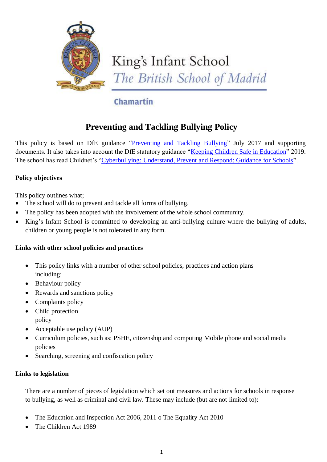

# King's Infant School The British School of Madrid

# Chamartin

# **Preventing and Tackling Bullying Policy**

This policy is based on DfE guidance ["Preventing and Tackling Bullying" J](file:///C:/Users/dawn.akyurek/AssitA01/AppData/Local/Microsoft/Windows/Temporary%20Internet%20Files/Content.Outlook/ZQ0RB9FM/â¢%09https:/www.gov.uk/government/publications/preventing-and-tackling-bullying)uly 2017 and supporting documents. It also takes into account the DfE statutory guidance ["Keeping Children Safe in Education"](https://www.gov.uk/government/publications/keeping-children-safe-in-education--2) 2019. The school has read Childnet's ["Cyberbullying: Understand, Prevent and Respond: Guidance for Schools"](file:///C:/Users/dawn.akyurek/AssitA01/AppData/Local/Microsoft/Windows/Temporary%20Internet%20Files/Content.Outlook/ZQ0RB9FM/www.childnet.com/resources/cyberbullying-guidance-for-schools).

# **Policy objectives**

This policy outlines what;

- The school will do to prevent and tackle all forms of bullying.
- The policy has been adopted with the involvement of the whole school community.
- King's Infant School is committed to developing an anti-bullying culture where the bullying of adults, children or young people is not tolerated in any form.

# **Links with other school policies and practices**

- This policy links with a number of other school policies, practices and action plans including:
- Behaviour policy
- Rewards and sanctions policy
- Complaints policy
- Child protection policy
- Acceptable use policy (AUP)
- Curriculum policies, such as: PSHE, citizenship and computing Mobile phone and social media policies
- Searching, screening and confiscation policy

#### **Links to legislation**

There are a number of pieces of legislation which set out measures and actions for schools in response to bullying, as well as criminal and civil law. These may include (but are not limited to):

- The Education and Inspection Act 2006, 2011 o The Equality Act 2010
- The Children Act 1989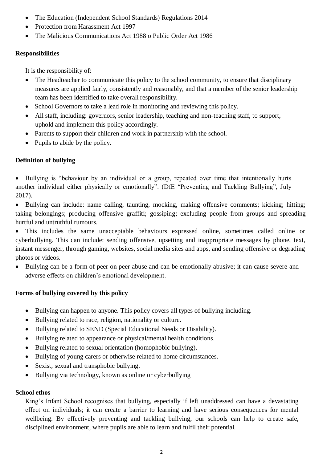- The Education (Independent School Standards) Regulations 2014
- Protection from Harassment Act 1997
- The Malicious Communications Act 1988 o Public Order Act 1986

#### **Responsibilities**

It is the responsibility of:

- The Headteacher to communicate this policy to the school community, to ensure that disciplinary measures are applied fairly, consistently and reasonably, and that a member of the senior leadership team has been identified to take overall responsibility.
- School Governors to take a lead role in monitoring and reviewing this policy.
- All staff, including: governors, senior leadership, teaching and non-teaching staff, to support, uphold and implement this policy accordingly.
- Parents to support their children and work in partnership with the school.
- Pupils to abide by the policy.

## **Definition of bullying**

• Bullying is "behaviour by an individual or a group, repeated over time that intentionally hurts another individual either physically or emotionally". (DfE "Preventing and Tackling Bullying", July 2017).

 Bullying can include: name calling, taunting, mocking, making offensive comments; kicking; hitting; taking belongings; producing offensive graffiti; gossiping; excluding people from groups and spreading hurtful and untruthful rumours.

 This includes the same unacceptable behaviours expressed online, sometimes called online or cyberbullying. This can include: sending offensive, upsetting and inappropriate messages by phone, text, instant messenger, through gaming, websites, social media sites and apps, and sending offensive or degrading photos or videos.

 Bullying can be a form of peer on peer abuse and can be emotionally abusive; it can cause severe and adverse effects on children's emotional development.

#### **Forms of bullying covered by this policy**

- Bullying can happen to anyone. This policy covers all types of bullying including.
- Bullying related to race, religion, nationality or culture.
- Bullying related to SEND (Special Educational Needs or Disability).
- Bullying related to appearance or physical/mental health conditions.
- Bullying related to sexual orientation (homophobic bullying).
- Bullying of young carers or otherwise related to home circumstances.
- Sexist, sexual and transphobic bullying.
- Bullying via technology, known as online or cyberbullying

#### **School ethos**

King's Infant School recognises that bullying, especially if left unaddressed can have a devastating effect on individuals; it can create a barrier to learning and have serious consequences for mental wellbeing. By effectively preventing and tackling bullying, our schools can help to create safe, disciplined environment, where pupils are able to learn and fulfil their potential.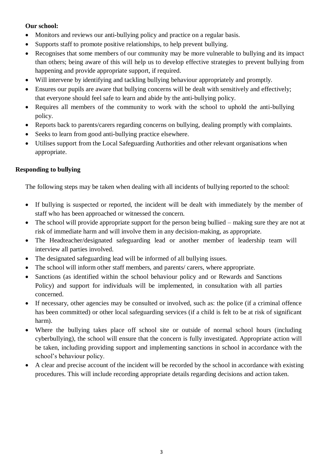#### **Our school:**

- Monitors and reviews our anti-bullying policy and practice on a regular basis.
- Supports staff to promote positive relationships, to help prevent bullying.
- Recognises that some members of our community may be more vulnerable to bullying and its impact than others; being aware of this will help us to develop effective strategies to prevent bullying from happening and provide appropriate support, if required.
- Will intervene by identifying and tackling bullying behaviour appropriately and promptly.
- Ensures our pupils are aware that bullying concerns will be dealt with sensitively and effectively; that everyone should feel safe to learn and abide by the anti-bullying policy.
- Requires all members of the community to work with the school to uphold the anti-bullying policy.
- Reports back to parents/carers regarding concerns on bullying, dealing promptly with complaints.
- Seeks to learn from good anti-bullying practice elsewhere.
- Utilises support from the Local Safeguarding Authorities and other relevant organisations when appropriate.

## **Responding to bullying**

The following steps may be taken when dealing with all incidents of bullying reported to the school:

- If bullying is suspected or reported, the incident will be dealt with immediately by the member of staff who has been approached or witnessed the concern.
- The school will provide appropriate support for the person being bullied making sure they are not at risk of immediate harm and will involve them in any decision-making, as appropriate.
- The Headteacher/designated safeguarding lead or another member of leadership team will interview all parties involved.
- The designated safeguarding lead will be informed of all bullying issues.
- The school will inform other staff members, and parents/ carers, where appropriate.
- Sanctions (as identified within the school behaviour policy and or Rewards and Sanctions Policy) and support for individuals will be implemented, in consultation with all parties concerned.
- If necessary, other agencies may be consulted or involved, such as: the police (if a criminal offence has been committed) or other local safeguarding services (if a child is felt to be at risk of significant harm).
- Where the bullying takes place off school site or outside of normal school hours (including cyberbullying), the school will ensure that the concern is fully investigated. Appropriate action will be taken, including providing support and implementing sanctions in school in accordance with the school's behaviour policy.
- A clear and precise account of the incident will be recorded by the school in accordance with existing procedures. This will include recording appropriate details regarding decisions and action taken.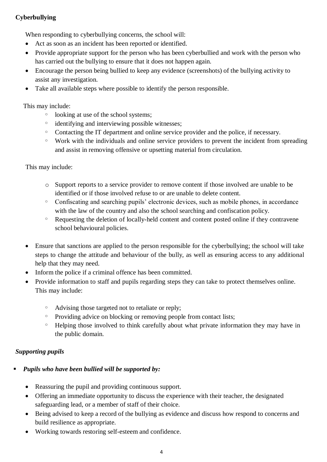# **Cyberbullying**

When responding to cyberbullying concerns, the school will:

- Act as soon as an incident has been reported or identified.
- Provide appropriate support for the person who has been cyberbullied and work with the person who has carried out the bullying to ensure that it does not happen again.
- Encourage the person being bullied to keep any evidence (screenshots) of the bullying activity to assist any investigation.
- Take all available steps where possible to identify the person responsible.

This may include:

- looking at use of the school systems;
- <sup>o</sup> identifying and interviewing possible witnesses;
- <sup>o</sup> Contacting the IT department and online service provider and the police, if necessary.
- <sup>o</sup> Work with the individuals and online service providers to prevent the incident from spreading and assist in removing offensive or upsetting material from circulation.

This may include:

- o Support reports to a service provider to remove content if those involved are unable to be identified or if those involved refuse to or are unable to delete content.
- $\degree$  Confiscating and searching pupils' electronic devices, such as mobile phones, in accordance with the law of the country and also the school searching and confiscation policy.
- <sup>o</sup> Requesting the deletion of locally-held content and content posted online if they contravene school behavioural policies.
- Ensure that sanctions are applied to the person responsible for the cyberbullying; the school will take steps to change the attitude and behaviour of the bully, as well as ensuring access to any additional help that they may need.
- Inform the police if a criminal offence has been committed.
- Provide information to staff and pupils regarding steps they can take to protect themselves online. This may include:
	- <sup>o</sup> Advising those targeted not to retaliate or reply;
	- <sup>o</sup> Providing advice on blocking or removing people from contact lists;
	- Helping those involved to think carefully about what private information they may have in the public domain.

# *Supporting pupils*

# *Pupils who have been bullied will be supported by:*

- Reassuring the pupil and providing continuous support.
- Offering an immediate opportunity to discuss the experience with their teacher, the designated safeguarding lead, or a member of staff of their choice.
- Being advised to keep a record of the bullying as evidence and discuss how respond to concerns and build resilience as appropriate.
- Working towards restoring self-esteem and confidence.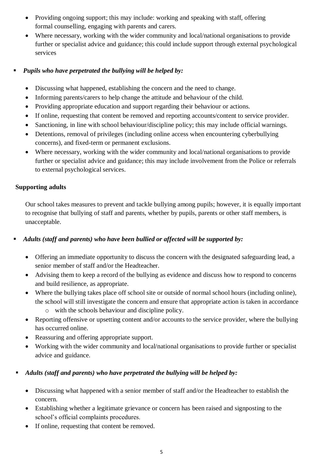- Providing ongoing support; this may include: working and speaking with staff, offering formal counselling, engaging with parents and carers.
- Where necessary, working with the wider community and local/national organisations to provide further or specialist advice and guidance; this could include support through external psychological services

#### *Pupils who have perpetrated the bullying will be helped by:*

- Discussing what happened, establishing the concern and the need to change.
- Informing parents/carers to help change the attitude and behaviour of the child.
- Providing appropriate education and support regarding their behaviour or actions.
- If online, requesting that content be removed and reporting accounts/content to service provider.
- Sanctioning, in line with school behaviour/discipline policy; this may include official warnings.
- Detentions, removal of privileges (including online access when encountering cyberbullying concerns), and fixed-term or permanent exclusions.
- Where necessary, working with the wider community and local/national organisations to provide further or specialist advice and guidance; this may include involvement from the Police or referrals to external psychological services.

## **Supporting adults**

Our school takes measures to prevent and tackle bullying among pupils; however, it is equally important to recognise that bullying of staff and parents, whether by pupils, parents or other staff members, is unacceptable.

# *Adults (staff and parents) who have been bullied or affected will be supported by:*

- Offering an immediate opportunity to discuss the concern with the designated safeguarding lead, a senior member of staff and/or the Headteacher.
- Advising them to keep a record of the bullying as evidence and discuss how to respond to concerns and build resilience, as appropriate.
- Where the bullying takes place off school site or outside of normal school hours (including online), the school will still investigate the concern and ensure that appropriate action is taken in accordance
	- o with the schools behaviour and discipline policy.
- Reporting offensive or upsetting content and/or accounts to the service provider, where the bullying has occurred online.
- Reassuring and offering appropriate support.
- Working with the wider community and local/national organisations to provide further or specialist advice and guidance.

# *Adults (staff and parents) who have perpetrated the bullying will be helped by:*

- Discussing what happened with a senior member of staff and/or the Headteacher to establish the concern.
- Establishing whether a legitimate grievance or concern has been raised and signposting to the school's official complaints procedures.
- If online, requesting that content be removed.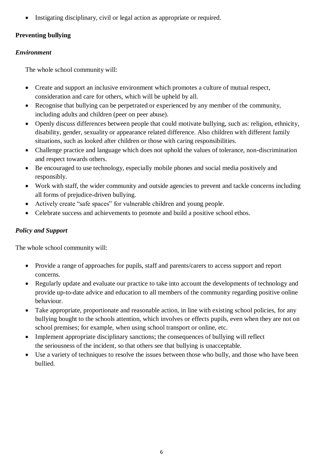Instigating disciplinary, civil or legal action as appropriate or required.

# **Preventing bullying**

## *Environment*

The whole school community will:

- Create and support an inclusive environment which promotes a culture of mutual respect, consideration and care for others, which will be upheld by all.
- Recognise that bullying can be perpetrated or experienced by any member of the community, including adults and children (peer on peer abuse).
- Openly discuss differences between people that could motivate bullying, such as: religion, ethnicity, disability, gender, sexuality or appearance related difference. Also children with different family situations, such as looked after children or those with caring responsibilities.
- Challenge practice and language which does not uphold the values of tolerance, non-discrimination and respect towards others.
- Be encouraged to use technology, especially mobile phones and social media positively and responsibly.
- Work with staff, the wider community and outside agencies to prevent and tackle concerns including all forms of prejudice-driven bullying.
- Actively create "safe spaces" for vulnerable children and young people.
- Celebrate success and achievements to promote and build a positive school ethos.

# *Policy and Support*

The whole school community will:

- Provide a range of approaches for pupils, staff and parents/carers to access support and report concerns.
- Regularly update and evaluate our practice to take into account the developments of technology and provide up-to-date advice and education to all members of the community regarding positive online behaviour.
- Take appropriate, proportionate and reasonable action, in line with existing school policies, for any bullying bought to the schools attention, which involves or effects pupils, even when they are not on school premises; for example, when using school transport or online, etc.
- Implement appropriate disciplinary sanctions; the consequences of bullying will reflect the seriousness of the incident, so that others see that bullying is unacceptable.
- Use a variety of techniques to resolve the issues between those who bully, and those who have been bullied.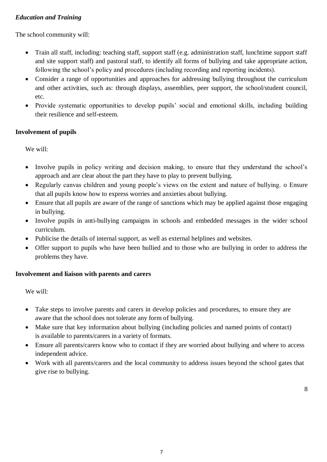#### *Education and Training*

The school community will:

- Train all staff, including: teaching staff, support staff (e.g. administration staff, lunchtime support staff and site support staff) and pastoral staff, to identify all forms of bullying and take appropriate action, following the school's policy and procedures (including recording and reporting incidents).
- Consider a range of opportunities and approaches for addressing bullying throughout the curriculum and other activities, such as: through displays, assemblies, peer support, the school/student council, etc.
- Provide systematic opportunities to develop pupils' social and emotional skills, including building their resilience and self-esteem.

#### **Involvement of pupils**

We will:

- Involve pupils in policy writing and decision making, to ensure that they understand the school's approach and are clear about the part they have to play to prevent bullying.
- Regularly canvas children and young people's views on the extent and nature of bullying. o Ensure that all pupils know how to express worries and anxieties about bullying.
- Ensure that all pupils are aware of the range of sanctions which may be applied against those engaging in bullying.
- Involve pupils in anti-bullying campaigns in schools and embedded messages in the wider school curriculum.
- Publicise the details of internal support, as well as external helplines and websites.
- Offer support to pupils who have been bullied and to those who are bullying in order to address the problems they have.

#### **Involvement and liaison with parents and carers**

We will:

- Take steps to involve parents and carers in develop policies and procedures, to ensure they are aware that the school does not tolerate any form of bullying.
- Make sure that key information about bullying (including policies and named points of contact) is available to parents/carers in a variety of formats.
- Ensure all parents/carers know who to contact if they are worried about bullying and where to access independent advice.
- Work with all parents/carers and the local community to address issues beyond the school gates that give rise to bullying.

8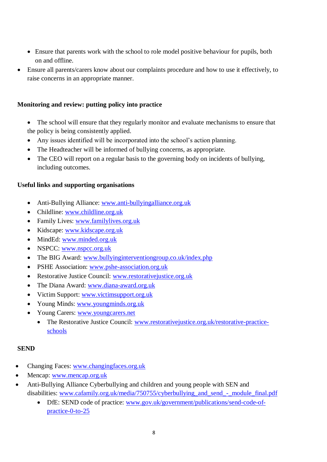- Ensure that parents work with the school to role model positive behaviour for pupils, both on and offline.
- Ensure all parents/carers know about our complaints procedure and how to use it effectively, to raise concerns in an appropriate manner.

#### **Monitoring and review: putting policy into practice**

- The school will ensure that they regularly monitor and evaluate mechanisms to ensure that the policy is being consistently applied.
- Any issues identified will be incorporated into the school's action planning.
- The Headteacher will be informed of bullying concerns, as appropriate.
- The CEO will report on a regular basis to the governing body on incidents of bullying, including outcomes.

#### **Useful links and supporting organisations**

- Anti-Bullying Alliance: [www.anti-bullyingalliance.org.uk](http://www.anti-bullyingalliance.org.uk/)
- Childline: [www.childline.org.uk](http://www.childline.org.uk/)
- Family Lives: [www.familylives.org.uk](http://www.familylives.org.uk/)
- Kidscape: [www.kidscape.org.uk](http://www.kidscape.org.uk/)
- MindEd: [www.minded.org.uk](http://www.minded.org.uk/)
- NSPCC: [www.nspcc.org.uk](http://www.nspcc.org.uk/)
- The BIG Award: [www.bullyinginterventiongroup.co.uk/index.php](https://www.bullyinginterventiongroup.co.uk/index.php)
- PSHE Association: [www.pshe-association.org.uk](http://www.pshe-association.org.uk/)
- Restorative Justice Council: [www.restorativejustice.org.uk](http://www.restorativejustice.org.uk/)
- The Diana Award: [www.diana-award.org.uk](http://www.diana-award.org.uk/)
- Victim Support: [www.victimsupport.org.uk](http://www.victimsupport.org.uk/)
- Young Minds: [www.youngminds.org.uk](http://www.youngminds.org.uk/)
- Young Carers: [www.youngcarers.net](http://www.youngcarers.net/)
	- The Restorative Justice Council: [www.restorativejustice.org.uk/restorative-practice](http://www.restorativejustice.org.uk/restorative-practice-schools)[schools](http://www.restorativejustice.org.uk/restorative-practice-schools)

#### **SEND**

- Changing Faces: [www.changingfaces.org.uk](http://www.changingfaces.org.uk/)
- Mencap: [www.mencap.org.uk](http://www.mencap.org.uk/)
- Anti-Bullying Alliance Cyberbullying and children and young people with SEN and disabilities: [www.cafamily.org.uk/media/750755/cyberbullying\\_and\\_send\\_-\\_module\\_final.pdf](http://www.cafamily.org.uk/media/750755/cyberbullying_and_send_-_module_final.pdf)
	- DfE: SEND code of practice: [www.gov.uk/government/publications/send-code-of](https://www.gov.uk/government/publications/send-code-of-practice-0-to-25)[practice-0-to-25](https://www.gov.uk/government/publications/send-code-of-practice-0-to-25)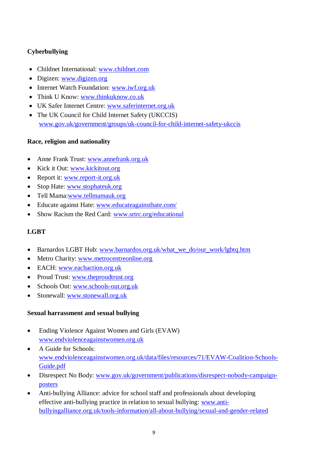# **Cyberbullying**

- Childnet International: [www.childnet.com](http://www.childnet.com/)
- Digizen: [www.digizen.org](http://www.digizen.org/)
- Internet Watch Foundation: [www.iwf.org.uk](http://www.iwf.org.uk/)
- Think U Know: [www.thinkuknow.co.uk](http://www.thinkuknow.co.uk/)
- UK Safer Internet Centre: [www.saferinternet.org.uk](http://www.saferinternet.org.uk/)
- The UK Council for Child Internet Safety (UKCCIS) [www.gov.uk/government/groups/uk-council-for-child-internet-safety-ukccis](http://www.gov.uk/government/groups/uk-council-for-child-internet-safety-ukccis)

#### **Race, religion and nationality**

- Anne Frank Trust: [www.annefrank.org.uk](http://www.annefrank.org.uk/)
- Kick it Out: [www.kickitout.org](http://www.kickitout.org/)
- Report it: [www.report-it.org.uk](http://www.report-it.org.uk/)
- Stop Hate: [www.stophateuk.org](http://www.stophateuk.org/)
- Tell Mama[:www.tellmamauk.org](http://www.tellmamauk.org/)
- Educate against Hate: [www.educateagainsthate.com/](http://www.educateagainsthate.com/)
- Show Racism the Red Card: [www.srtrc.org/educational](http://www.srtrc.org/educational)

# **LGBT**

- Barnardos LGBT Hub: [www.barnardos.org.uk/what\\_we\\_do/our\\_work/lgbtq.htm](http://www.barnardos.org.uk/what_we_do/our_work/lgbtq.htm)
- Metro Charity: [www.metrocentreonline.org](http://www.metrocentreonline.org/)
- EACH: [www.eachaction.org.uk](http://www.eachaction.org.uk/)
- Proud Trust: [www.theproudtrust.org](http://www.theproudtrust.org/)
- Schools Out: [www.schools-out.org.uk](http://www.schools-out.org.uk/)
- Stonewall: [www.stonewall.org.uk](http://www.stonewall.org.uk/)

#### **Sexual harrassment and sexual bullying**

- Ending Violence Against Women and Girls (EVAW) [www.endviolenceagainstwomen.org.uk](http://www.endviolenceagainstwomen.org.uk/)
- A Guide for Schools: [www.endviolenceagainstwomen.org.uk/data/files/resources/71/EVAW-Coalition-Schools-](http://www.endviolenceagainstwomen.org.uk/data/files/resources/71/EVAW-Coalition-Schools-Guide.pdf)[Guide.pdf](http://www.endviolenceagainstwomen.org.uk/data/files/resources/71/EVAW-Coalition-Schools-Guide.pdf)
- Disrespect No Body: [www.gov.uk/government/publications/disrespect-nobody-campaign](http://www.gov.uk/government/publications/disrespect-nobody-campaign-posters)[posters](http://www.gov.uk/government/publications/disrespect-nobody-campaign-posters)
- Anti-bullying Alliance: advice for school staff and professionals about developing effective anti-bullying practice in relation to sexual bullying: [www.anti](https://www.anti-bullyingalliance.org.uk/tools-information/all-about-bullying/sexual-and-gender-related)[bullyingalliance.org.uk/tools-information/all-about-bullying/sexual-and-gender-related](https://www.anti-bullyingalliance.org.uk/tools-information/all-about-bullying/sexual-and-gender-related)